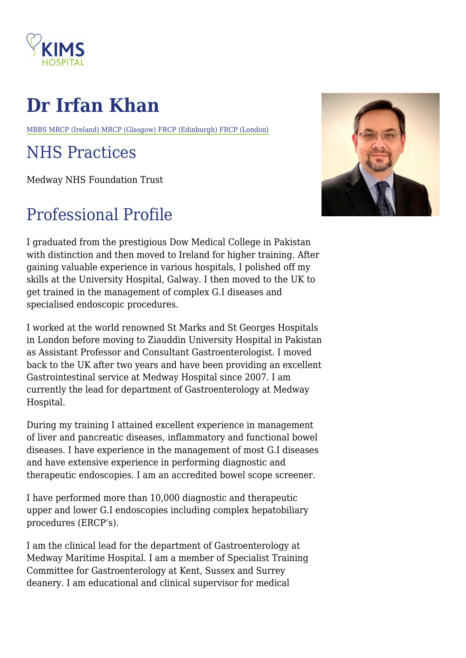

## **Dr Irfan Khan**

MBBS MRCP (Ireland) MRCP (Glasgow) FRCP (Edinburgh) FRCP (London)

## NHS Practices

Medway NHS Foundation Trust

## Professional Profile

I graduated from the prestigious Dow Medical College in Pakistan with distinction and then moved to Ireland for higher training. After gaining valuable experience in various hospitals, I polished off my skills at the University Hospital, Galway. I then moved to the UK to get trained in the management of complex G.I diseases and specialised endoscopic procedures.

I worked at the world renowned St Marks and St Georges Hospitals in London before moving to Ziauddin University Hospital in Pakistan as Assistant Professor and Consultant Gastroenterologist. I moved back to the UK after two years and have been providing an excellent Gastrointestinal service at Medway Hospital since 2007. I am currently the lead for department of Gastroenterology at Medway Hospital.

During my training I attained excellent experience in management of liver and pancreatic diseases, inflammatory and functional bowel diseases. I have experience in the management of most G.I diseases and have extensive experience in performing diagnostic and therapeutic endoscopies. I am an accredited bowel scope screener.

I have performed more than 10,000 diagnostic and therapeutic upper and lower G.I endoscopies including complex hepatobiliary procedures (ERCP's).

I am the clinical lead for the department of Gastroenterology at Medway Maritime Hospital. I am a member of Specialist Training Committee for Gastroenterology at Kent, Sussex and Surrey deanery. I am educational and clinical supervisor for medical